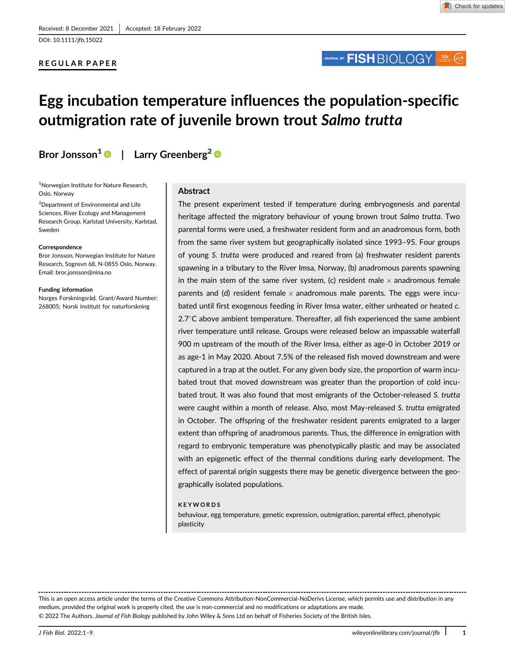### REGULAR PAPER

## JOURNAL OF **FISH** BIOLOGY

# Egg incubation temperature influences the population-specific outmigration rate of juvenile brown trout Salmo trutta

Bror Jonsson<sup>1</sup>  $\bullet$  | Larry Greenberg<sup>2</sup>  $\bullet$ 

1 Norwegian Institute for Nature Research, Oslo, Norway

2 Department of Environmental and Life Sciences, River Ecology and Management Research Group, Karlstad University, Karlstad, Sweden

#### Correspondence

Bror Jonsson, Norwegian Institute for Nature Research, Sognsvn 68, N-0855 Oslo, Norway. Email: [bror.jonsson@nina.no](mailto:bror.jonsson@nina.no)

#### Funding information

Norges Forskningsråd, Grant/Award Number: 268005; Norsk institutt for naturforskning

Abstract

The present experiment tested if temperature during embryogenesis and parental heritage affected the migratory behaviour of young brown trout Salmo trutta. Two parental forms were used, a freshwater resident form and an anadromous form, both from the same river system but geographically isolated since 1993–95. Four groups of young S. trutta were produced and reared from (a) freshwater resident parents spawning in a tributary to the River Imsa, Norway, (b) anadromous parents spawning in the main stem of the same river system, (c) resident male  $\times$  anadromous female parents and (d) resident female  $\times$  anadromous male parents. The eggs were incubated until first exogenous feeding in River Imsa water, either unheated or heated c.  $2.7^{\circ}$ C above ambient temperature. Thereafter, all fish experienced the same ambient river temperature until release. Groups were released below an impassable waterfall 900 m upstream of the mouth of the River Imsa, either as age-0 in October 2019 or as age-1 in May 2020. About 7.5% of the released fish moved downstream and were captured in a trap at the outlet. For any given body size, the proportion of warm incubated trout that moved downstream was greater than the proportion of cold incubated trout. It was also found that most emigrants of the October-released S. trutta were caught within a month of release. Also, most May-released S. trutta emigrated in October. The offspring of the freshwater resident parents emigrated to a larger extent than offspring of anadromous parents. Thus, the difference in emigration with regard to embryonic temperature was phenotypically plastic and may be associated with an epigenetic effect of the thermal conditions during early development. The effect of parental origin suggests there may be genetic divergence between the geographically isolated populations.

### KEYWORDS

behaviour, egg temperature, genetic expression, outmigration, parental effect, phenotypic plasticity

This is an open access article under the terms of the [Creative Commons Attribution-NonCommercial-NoDerivs](http://creativecommons.org/licenses/by-nc-nd/4.0/) License, which permits use and distribution in any medium, provided the original work is properly cited, the use is non-commercial and no modifications or adaptations are made. © 2022 The Authors. Journal of Fish Biology published by John Wiley & Sons Ltd on behalf of Fisheries Society of the British Isles.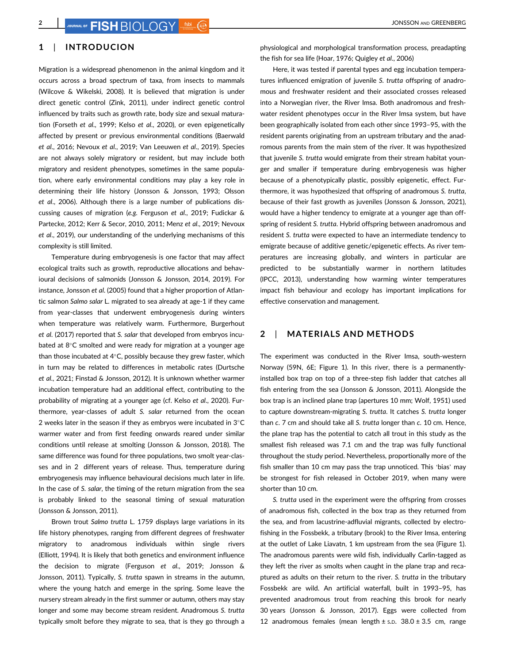### 1 | INTRODUCION

Migration is a widespread phenomenon in the animal kingdom and it occurs across a broad spectrum of taxa, from insects to mammals (Wilcove & Wikelski, 2008). It is believed that migration is under direct genetic control (Zink, 2011), under indirect genetic control influenced by traits such as growth rate, body size and sexual maturation (Forseth et al., 1999; Kelso et al., 2020), or even epigenetically affected by present or previous environmental conditions (Baerwald et al., 2016; Nevoux et al., 2019; Van Leeuwen et al., 2019). Species are not always solely migratory or resident, but may include both migratory and resident phenotypes, sometimes in the same population, where early environmental conditions may play a key role in determining their life history (Jonsson & Jonsson, 1993; Olsson et al., 2006). Although there is a large number of publications discussing causes of migration (e.g. Ferguson et al., 2019; Fudickar & Partecke, 2012; Kerr & Secor, 2010, 2011; Menz et al., 2019; Nevoux et al., 2019), our understanding of the underlying mechanisms of this complexity is still limited.

Temperature during embryogenesis is one factor that may affect ecological traits such as growth, reproductive allocations and behavioural decisions of salmonids (Jonsson & Jonsson, 2014, 2019). For instance, Jonsson et al. (2005) found that a higher proportion of Atlantic salmon Salmo salar L. migrated to sea already at age-1 if they came from year-classes that underwent embryogenesis during winters when temperature was relatively warm. Furthermore, Burgerhout et al. (2017) reported that S. salar that developed from embryos incubated at  $8^{\circ}$ C smolted and were ready for migration at a younger age than those incubated at  $4^{\circ}$ C, possibly because they grew faster, which in turn may be related to differences in metabolic rates (Durtsche et al., 2021; Finstad & Jonsson, 2012). It is unknown whether warmer incubation temperature had an additional effect, contributing to the probability of migrating at a younger age (cf. Kelso et al., 2020). Furthermore, year-classes of adult S. salar returned from the ocean 2 weeks later in the season if they as embryos were incubated in  $3^{\circ}$ C warmer water and from first feeding onwards reared under similar conditions until release at smolting (Jonsson & Jonsson, 2018). The same difference was found for three populations, two smolt year-classes and in 2 different years of release. Thus, temperature during embryogenesis may influence behavioural decisions much later in life. In the case of S. salar, the timing of the return migration from the sea is probably linked to the seasonal timing of sexual maturation (Jonsson & Jonsson, 2011).

Brown trout Salmo trutta L. 1759 displays large variations in its life history phenotypes, ranging from different degrees of freshwater migratory to anadromous individuals within single rivers (Elliott, 1994). It is likely that both genetics and environment influence the decision to migrate (Ferguson et al., 2019; Jonsson & Jonsson, 2011). Typically, S. trutta spawn in streams in the autumn, where the young hatch and emerge in the spring. Some leave the nursery stream already in the first summer or autumn, others may stay longer and some may become stream resident. Anadromous S. trutta typically smolt before they migrate to sea, that is they go through a

physiological and morphological transformation process, preadapting the fish for sea life (Hoar, 1976; Quigley et al., 2006)

Here, it was tested if parental types and egg incubation temperatures influenced emigration of juvenile S. trutta offspring of anadromous and freshwater resident and their associated crosses released into a Norwegian river, the River Imsa. Both anadromous and freshwater resident phenotypes occur in the River Imsa system, but have been geographically isolated from each other since 1993–95, with the resident parents originating from an upstream tributary and the anadromous parents from the main stem of the river. It was hypothesized that juvenile S. trutta would emigrate from their stream habitat younger and smaller if temperature during embryogenesis was higher because of a phenotypically plastic, possibly epigenetic, effect. Furthermore, it was hypothesized that offspring of anadromous S. trutta, because of their fast growth as juveniles (Jonsson & Jonsson, 2021), would have a higher tendency to emigrate at a younger age than offspring of resident S. trutta. Hybrid offspring between anadromous and resident S. trutta were expected to have an intermediate tendency to emigrate because of additive genetic/epigenetic effects. As river temperatures are increasing globally, and winters in particular are predicted to be substantially warmer in northern latitudes (IPCC, 2013), understanding how warming winter temperatures impact fish behaviour and ecology has important implications for effective conservation and management.

### 2 | MATERIALS AND METHODS

The experiment was conducted in the River Imsa, south-western Norway (59N, 6E; Figure 1). In this river, there is a permanentlyinstalled box trap on top of a three-step fish ladder that catches all fish entering from the sea (Jonsson & Jonsson, 2011). Alongside the box trap is an inclined plane trap (apertures 10 mm; Wolf, 1951) used to capture downstream-migrating S. trutta. It catches S. trutta longer than c. 7 cm and should take all S. trutta longer than c. 10 cm. Hence, the plane trap has the potential to catch all trout in this study as the smallest fish released was 7.1 cm and the trap was fully functional throughout the study period. Nevertheless, proportionally more of the fish smaller than 10 cm may pass the trap unnoticed. This 'bias' may be strongest for fish released in October 2019, when many were shorter than 10 cm.

S. trutta used in the experiment were the offspring from crosses of anadromous fish, collected in the box trap as they returned from the sea, and from lacustrine-adfluvial migrants, collected by electrofishing in the Fossbekk, a tributary (brook) to the River Imsa, entering at the outlet of Lake Liavatn, 1 km upstream from the sea (Figure 1). The anadromous parents were wild fish, individually Carlin-tagged as they left the river as smolts when caught in the plane trap and recaptured as adults on their return to the river. S. trutta in the tributary Fossbekk are wild. An artificial waterfall, built in 1993–95, has prevented anadromous trout from reaching this brook for nearly 30 years (Jonsson & Jonsson, 2017). Eggs were collected from 12 anadromous females (mean length  $\pm$  s.p. 38.0  $\pm$  3.5 cm, range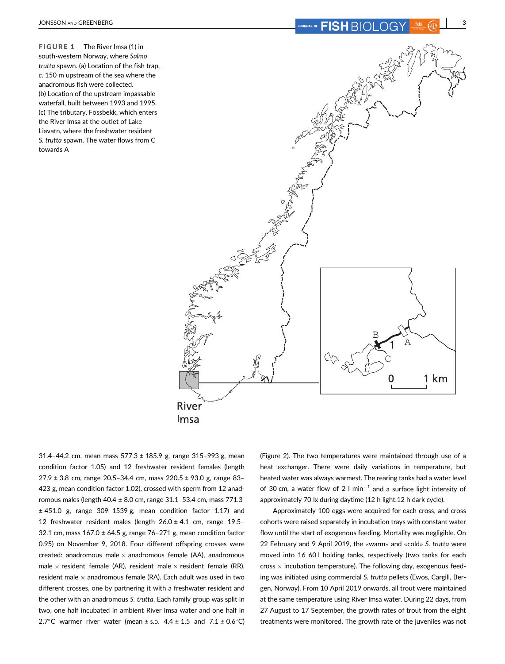FIGURE 1 The River Imsa (1) in south-western Norway, where Salmo trutta spawn. (a) Location of the fish trap, c. 150 m upstream of the sea where the anadromous fish were collected. (b) Location of the upstream impassable waterfall, built between 1993 and 1995. (c) The tributary, Fossbekk, which enters the River Imsa at the outlet of Lake Liavatn, where the freshwater resident S. trutta spawn. The water flows from C towards A



31.4-44.2 cm, mean mass  $577.3 \pm 185.9$  g, range 315-993 g, mean condition factor 1.05) and 12 freshwater resident females (length  $27.9 \pm 3.8$  cm, range 20.5-34.4 cm, mass 220.5  $\pm$  93.0 g, range 83-423 g, mean condition factor 1.02), crossed with sperm from 12 anadromous males (length  $40.4 \pm 8.0$  cm, range  $31.1 - 53.4$  cm, mass  $771.3$ ± 451.0 g, range 309–1539 g, mean condition factor 1.17) and 12 freshwater resident males (length  $26.0 \pm 4.1$  cm, range 19.5-32.1 cm, mass  $167.0 \pm 64.5$  g, range  $76-271$  g, mean condition factor 0.95) on November 9, 2018. Four different offspring crosses were created: anadromous male  $\times$  anadromous female (AA), anadromous male  $\times$  resident female (AR), resident male  $\times$  resident female (RR), resident male  $\times$  anadromous female (RA). Each adult was used in two different crosses, one by partnering it with a freshwater resident and the other with an anadromous S. trutta. Each family group was split in two, one half incubated in ambient River Imsa water and one half in 2.7°C warmer river water (mean  $\pm$  s.p. 4.4  $\pm$  1.5 and 7.1  $\pm$  0.6°C) (Figure 2). The two temperatures were maintained through use of a heat exchanger. There were daily variations in temperature, but heated water was always warmest. The rearing tanks had a water level of 30 cm, a water flow of 2 l min<sup>-1</sup> and a surface light intensity of approximately 70 lx during daytime (12 h light:12 h dark cycle).

Approximately 100 eggs were acquired for each cross, and cross cohorts were raised separately in incubation trays with constant water flow until the start of exogenous feeding. Mortality was negligible. On 22 February and 9 April 2019, the «warm» and «cold» S. trutta were moved into 16 60 l holding tanks, respectively (two tanks for each  $cross \times$  incubation temperature). The following day, exogenous feeding was initiated using commercial S. trutta pellets (Ewos, Cargill, Bergen, Norway). From 10 April 2019 onwards, all trout were maintained at the same temperature using River Imsa water. During 22 days, from 27 August to 17 September, the growth rates of trout from the eight treatments were monitored. The growth rate of the juveniles was not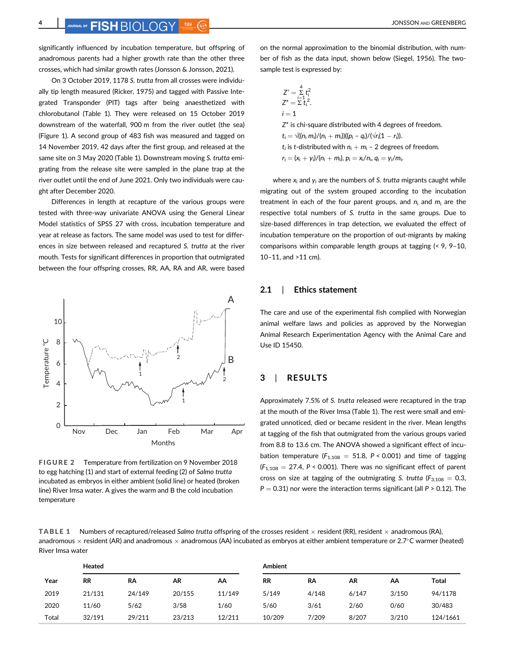### $\mathbf{H}_{\text{AL OF}}$   $\mathbf{FISH}$   $\text{RIO}$   $\text{OGSV}$  ,  $\overline{\text{fsbi}}$   $\overline{\text{f}}$

significantly influenced by incubation temperature, but offspring of anadromous parents had a higher growth rate than the other three crosses, which had similar growth rates (Jonsson & Jonsson, 2021).

On 3 October 2019, 1178 S. trutta from all crosses were individually tip length measured (Ricker, 1975) and tagged with Passive Integrated Transponder (PIT) tags after being anaesthetized with chlorobutanol (Table 1). They were released on 15 October 2019 downstream of the waterfall, 900 m from the river outlet (the sea) (Figure 1). A second group of 483 fish was measured and tagged on 14 November 2019, 42 days after the first group, and released at the same site on 3 May 2020 (Table 1). Downstream moving S. trutta emigrating from the release site were sampled in the plane trap at the river outlet until the end of June 2021. Only two individuals were caught after December 2020.

Differences in length at recapture of the various groups were tested with three-way univariate ANOVA using the General Linear Model statistics of SPSS 27 with cross, incubation temperature and year at release as factors. The same model was used to test for differences in size between released and recaptured S. trutta at the river mouth. Tests for significant differences in proportion that outmigrated between the four offspring crosses, RR, AA, RA and AR, were based



FIGURE 2 Temperature from fertilization on 9 November 2018 to egg hatching (1) and start of external feeding (2) of Salmo trutta incubated as embryos in either ambient (solid line) or heated (broken line) River Imsa water. A gives the warm and B the cold incubation temperature

on the normal approximation to the binomial distribution, with number of fish as the data input, shown below (Siegel, 1956). The twosample test is expressed by:

$$
Z^* = \sum_{i=1}^4 t_i^2
$$
  
\n
$$
Z^* = \sum_{i=1}^4 t_i^2.
$$
  
\n $i = 1$   
\n
$$
Z^*
$$
 is chi-square distributed with 4 degrees of freedom.  
\n
$$
t_i = \sqrt{((n_i m_i)/(n_i + m_i))}((p_i - q_i)/(\sqrt{r_i(1 - r_i)}).
$$
  
\n $t_i$  is t-distributed with  $n_i + m_i - 2$  degrees of freedom.  
\n $r_i = (x_i + y_i)/(n_i + m_i), p_i = x_i/n_i, q_i = y_i/m_i.$ 

where  $x_i$  and  $y_i$  are the numbers of S. trutta migrants caught while migrating out of the system grouped according to the incubation treatment in each of the four parent groups, and  $n_i$  and  $m_i$  are the respective total numbers of S. trutta in the same groups. Due to size-based differences in trap detection, we evaluated the effect of incubation temperature on the proportion of out-migrants by making comparisons within comparable length groups at tagging (< 9, 9–10, 10–11, and >11 cm).

### 2.1 | Ethics statement

The care and use of the experimental fish complied with Norwegian animal welfare laws and policies as approved by the Norwegian Animal Research Experimentation Agency with the Animal Care and Use ID 15450.

### 3 | RESULTS

Approximately 7.5% of S. trutta released were recaptured in the trap at the mouth of the River Imsa (Table 1). The rest were small and emigrated unnoticed, died or became resident in the river. Mean lengths at tagging of the fish that outmigrated from the various groups varied from 8.8 to 13.6 cm. The ANOVA showed a significant effect of incubation temperature ( $F_{1,108} = 51.8$ , P < 0.001) and time of tagging  $(F_{1,108} = 27.4, P < 0.001)$ . There was no significant effect of parent cross on size at tagging of the outmigrating S. trutta ( $F_{3,108} = 0.3$ ,  $P = 0.31$ ) nor were the interaction terms significant (all  $P > 0.12$ ). The

TABLE 1 Numbers of recaptured/released Salmo trutta offspring of the crosses resident  $\times$  resident (RR), resident  $\times$  anadromous (RA), anadromous  $\times$  resident (AR) and anadromous  $\times$  anadromous (AA) incubated as embryos at either ambient temperature or 2.7°C warmer (heated) River Imsa water

|       | Heated    |        |        |        | <b>Ambient</b> |       |       |       |          |
|-------|-----------|--------|--------|--------|----------------|-------|-------|-------|----------|
| Year  | <b>RR</b> | RA     | AR     | AA     | <b>RR</b>      | RA    | AR    | АА    | Total    |
| 2019  | 21/131    | 24/149 | 20/155 | 11/149 | 5/149          | 4/148 | 6/147 | 3/150 | 94/1178  |
| 2020  | 11/60     | 5/62   | 3/58   | 1/60   | 5/60           | 3/61  | 2/60  | 0/60  | 30/483   |
| Total | 32/191    | 29/211 | 23/213 | 12/211 | 10/209         | 7/209 | 8/207 | 3/210 | 124/1661 |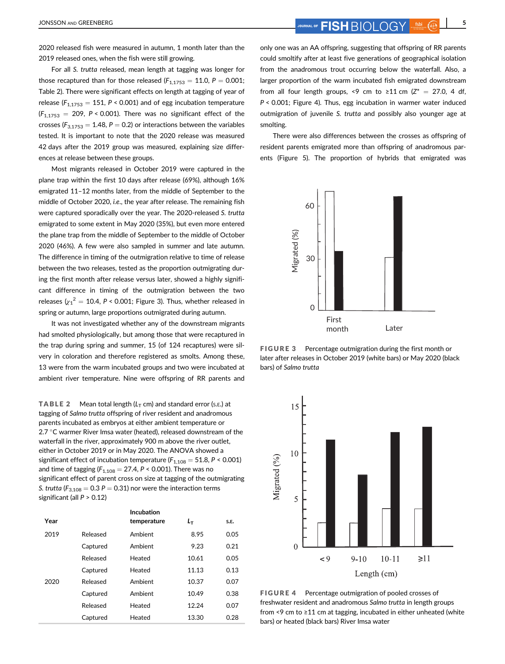2020 released fish were measured in autumn, 1 month later than the 2019 released ones, when the fish were still growing.

For all S. trutta released, mean length at tagging was longer for those recaptured than for those released  $(F_{1,1753} = 11.0, P = 0.001;$ Table 2). There were significant effects on length at tagging of year of release ( $F_{1,1753} = 151$ ,  $P \le 0.001$ ) and of egg incubation temperature  $(F_{1,1753} = 209, P < 0.001)$ . There was no significant effect of the crosses ( $F_{3,1753} = 1.48$ ,  $P = 0.2$ ) or interactions between the variables tested. It is important to note that the 2020 release was measured 42 days after the 2019 group was measured, explaining size differences at release between these groups.

Most migrants released in October 2019 were captured in the plane trap within the first 10 days after release (69%), although 16% emigrated 11–12 months later, from the middle of September to the middle of October 2020, i.e., the year after release. The remaining fish were captured sporadically over the year. The 2020-released S. trutta emigrated to some extent in May 2020 (35%), but even more entered the plane trap from the middle of September to the middle of October 2020 (46%). A few were also sampled in summer and late autumn. The difference in timing of the outmigration relative to time of release between the two releases, tested as the proportion outmigrating during the first month after release versus later, showed a highly significant difference in timing of the outmigration between the two releases ( ${\chi_1}^2 = 10.4$ , P < 0.001; Figure 3). Thus, whether released in spring or autumn, large proportions outmigrated during autumn.

It was not investigated whether any of the downstream migrants had smolted physiologically, but among those that were recaptured in the trap during spring and summer, 15 (of 124 recaptures) were silvery in coloration and therefore registered as smolts. Among these, 13 were from the warm incubated groups and two were incubated at ambient river temperature. Nine were offspring of RR parents and

**TABLE 2** Mean total length  $(L_T \text{ cm})$  and standard error (s.e.) at tagging of Salmo trutta offspring of river resident and anadromous parents incubated as embryos at either ambient temperature or 2.7  $\degree$ C warmer River Imsa water (heated), released downstream of the waterfall in the river, approximately 900 m above the river outlet, either in October 2019 or in May 2020. The ANOVA showed a significant effect of incubation temperature ( $F_{1,108} = 51.8$ ,  $P < 0.001$ ) and time of tagging ( $F_{1,108} = 27.4$ ,  $P \le 0.001$ ). There was no significant effect of parent cross on size at tagging of the outmigrating S. trutta ( $F_{3,108} = 0.3 P = 0.31$ ) nor were the interaction terms significant (all P > 0.12)

| Year |          | Incubation<br>temperature | Lт    | S.E. |
|------|----------|---------------------------|-------|------|
| 2019 | Released | Ambient                   | 8.95  | 0.05 |
|      | Captured | Ambient                   | 9.23  | 0.21 |
|      | Released | Heated                    | 10.61 | 0.05 |
|      | Captured | Heated                    | 11.13 | 0.13 |
| 2020 | Released | Ambient                   | 10.37 | 0.07 |
|      | Captured | Ambient                   | 10.49 | 0.38 |
|      | Released | Heated                    | 12.24 | 0.07 |
|      | Captured | Heated                    | 13.30 | 0.28 |

only one was an AA offspring, suggesting that offspring of RR parents could smoltify after at least five generations of geographical isolation from the anadromous trout occurring below the waterfall. Also, a larger proportion of the warm incubated fish emigrated downstream from all four length groups, <9 cm to ≥11 cm ( $Z^* = 27.0$ , 4 df, P < 0.001; Figure 4). Thus, egg incubation in warmer water induced outmigration of juvenile S. trutta and possibly also younger age at smolting.

There were also differences between the crosses as offspring of resident parents emigrated more than offspring of anadromous parents (Figure 5). The proportion of hybrids that emigrated was



FIGURE 3 Percentage outmigration during the first month or later after releases in October 2019 (white bars) or May 2020 (black bars) of Salmo trutta



FIGURE 4 Percentage outmigration of pooled crosses of freshwater resident and anadromous Salmo trutta in length groups from <9 cm to ≥11 cm at tagging, incubated in either unheated (white bars) or heated (black bars) River Imsa water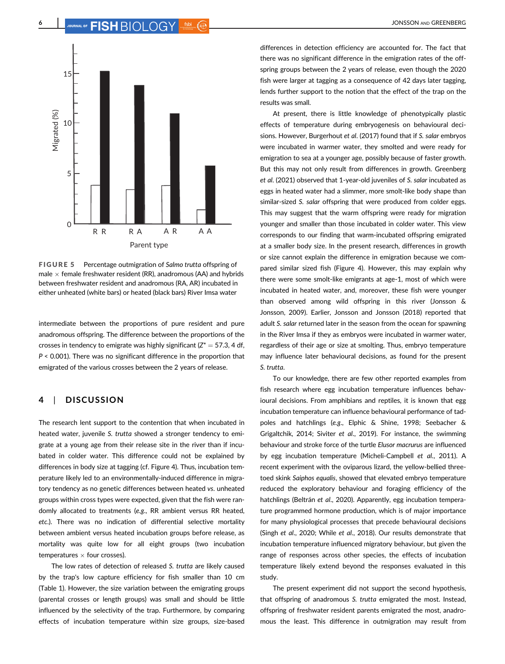

FIGURE 5 Percentage outmigration of Salmo trutta offspring of male  $\times$  female freshwater resident (RR), anadromous (AA) and hybrids between freshwater resident and anadromous (RA, AR) incubated in either unheated (white bars) or heated (black bars) River Imsa water

intermediate between the proportions of pure resident and pure anadromous offspring. The difference between the proportions of the crosses in tendency to emigrate was highly significant  $(Z^* = 57.3, 4$  df, P < 0.001). There was no significant difference in the proportion that emigrated of the various crosses between the 2 years of release.

### 4 | DISCUSSION

The research lent support to the contention that when incubated in heated water, juvenile S. trutta showed a stronger tendency to emigrate at a young age from their release site in the river than if incubated in colder water. This difference could not be explained by differences in body size at tagging (cf. Figure 4). Thus, incubation temperature likely led to an environmentally-induced difference in migratory tendency as no genetic differences between heated vs. unheated groups within cross types were expected, given that the fish were randomly allocated to treatments (e.g., RR ambient versus RR heated, etc.). There was no indication of differential selective mortality between ambient versus heated incubation groups before release, as mortality was quite low for all eight groups (two incubation temperatures  $\times$  four crosses).

The low rates of detection of released S. trutta are likely caused by the trap's low capture efficiency for fish smaller than 10 cm (Table 1). However, the size variation between the emigrating groups (parental crosses or length groups) was small and should be little influenced by the selectivity of the trap. Furthermore, by comparing effects of incubation temperature within size groups, size-based

differences in detection efficiency are accounted for. The fact that there was no significant difference in the emigration rates of the offspring groups between the 2 years of release, even though the 2020 fish were larger at tagging as a consequence of 42 days later tagging, lends further support to the notion that the effect of the trap on the results was small.

At present, there is little knowledge of phenotypically plastic effects of temperature during embryogenesis on behavioural decisions. However, Burgerhout et al. (2017) found that if S. salar embryos were incubated in warmer water, they smolted and were ready for emigration to sea at a younger age, possibly because of faster growth. But this may not only result from differences in growth. Greenberg et al. (2021) observed that 1-year-old juveniles of S. salar incubated as eggs in heated water had a slimmer, more smolt-like body shape than similar-sized S. salar offspring that were produced from colder eggs. This may suggest that the warm offspring were ready for migration younger and smaller than those incubated in colder water. This view corresponds to our finding that warm-incubated offspring emigrated at a smaller body size. In the present research, differences in growth or size cannot explain the difference in emigration because we compared similar sized fish (Figure 4). However, this may explain why there were some smolt-like emigrants at age-1, most of which were incubated in heated water, and, moreover, these fish were younger than observed among wild offspring in this river (Jonsson & Jonsson, 2009). Earlier, Jonsson and Jonsson (2018) reported that adult S. salar returned later in the season from the ocean for spawning in the River Imsa if they as embryos were incubated in warmer water, regardless of their age or size at smolting. Thus, embryo temperature may influence later behavioural decisions, as found for the present S. trutta.

To our knowledge, there are few other reported examples from fish research where egg incubation temperature influences behavioural decisions. From amphibians and reptiles, it is known that egg incubation temperature can influence behavioural performance of tadpoles and hatchlings (e.g., Elphic & Shine, 1998; Seebacher & Grigaltchik, 2014; Siviter et al., 2019). For instance, the swimming behaviour and stroke force of the turtle Elusor macrurus are influenced by egg incubation temperature (Micheli-Campbell et al., 2011). A recent experiment with the oviparous lizard, the yellow-bellied threetoed skink Saiphos equalis, showed that elevated embryo temperature reduced the exploratory behaviour and foraging efficiency of the hatchlings (Beltrán et al., 2020). Apparently, egg incubation temperature programmed hormone production, which is of major importance for many physiological processes that precede behavioural decisions (Singh et al., 2020; While et al., 2018). Our results demonstrate that incubation temperature influenced migratory behaviour, but given the range of responses across other species, the effects of incubation temperature likely extend beyond the responses evaluated in this study.

The present experiment did not support the second hypothesis, that offspring of anadromous S. trutta emigrated the most. Instead, offspring of freshwater resident parents emigrated the most, anadromous the least. This difference in outmigration may result from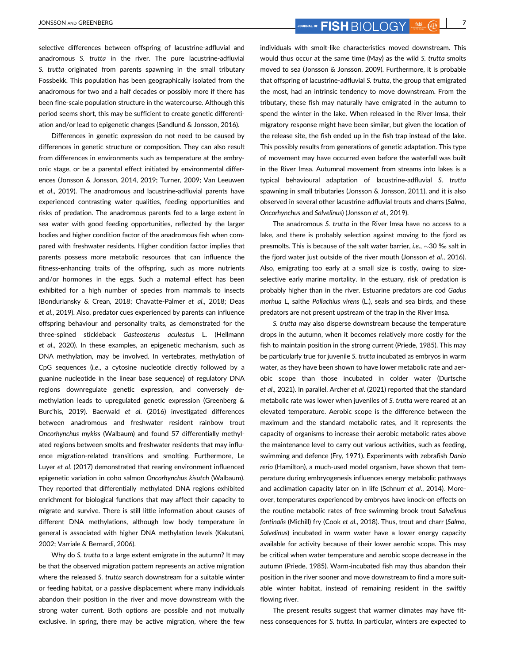JONSSON AND GREENBERG **7** JOURNAL OF **FISH**  $\bigcirc$  JOURNAL OF **FISH**  $\bigcirc$   $\bigcirc$   $\bigcirc$   $\bigcirc$   $\bigcirc$   $\bigcirc$   $\bigcirc$   $\bigcirc$   $\bigcirc$   $\bigcirc$   $\bigcirc$   $\bigcirc$   $\bigcirc$   $\bigcirc$   $\bigcirc$   $\bigcirc$   $\bigcirc$   $\bigcirc$   $\bigcirc$   $\bigcirc$   $\bigcirc$   $\bigcirc$   $\bigcirc$   $\bigcirc$   $\bigcirc$   $\bigcirc$ 

selective differences between offspring of lacustrine-adfluvial and anadromous S. trutta in the river. The pure lacustrine-adfluvial S. trutta originated from parents spawning in the small tributary Fossbekk. This population has been geographically isolated from the anadromous for two and a half decades or possibly more if there has been fine-scale population structure in the watercourse. Although this period seems short, this may be sufficient to create genetic differentiation and/or lead to epigenetic changes (Sandlund & Jonsson, 2016).

Differences in genetic expression do not need to be caused by differences in genetic structure or composition. They can also result from differences in environments such as temperature at the embryonic stage, or be a parental effect initiated by environmental differences (Jonsson & Jonsson, 2014, 2019; Turner, 2009; Van Leeuwen et al., 2019). The anadromous and lacustrine-adfluvial parents have experienced contrasting water qualities, feeding opportunities and risks of predation. The anadromous parents fed to a large extent in sea water with good feeding opportunities, reflected by the larger bodies and higher condition factor of the anadromous fish when compared with freshwater residents. Higher condition factor implies that parents possess more metabolic resources that can influence the fitness-enhancing traits of the offspring, such as more nutrients and/or hormones in the eggs. Such a maternal effect has been exhibited for a high number of species from mammals to insects (Bonduriansky & Crean, 2018; Chavatte-Palmer et al., 2018; Deas et al., 2019). Also, predator cues experienced by parents can influence offspring behaviour and personality traits, as demonstrated for the three-spined stickleback Gasteosterus aculeatus L. (Hellmann et al., 2020). In these examples, an epigenetic mechanism, such as DNA methylation, may be involved. In vertebrates, methylation of CpG sequences (i.e., a cytosine nucleotide directly followed by a guanine nucleotide in the linear base sequence) of regulatory DNA regions downregulate genetic expression, and conversely demethylation leads to upregulated genetic expression (Greenberg & Burc'his, 2019). Baerwald et al. (2016) investigated differences between anadromous and freshwater resident rainbow trout Oncorhynchus mykiss (Walbaum) and found 57 differentially methylated regions between smolts and freshwater residents that may influence migration-related transitions and smolting. Furthermore, Le Luyer et al. (2017) demonstrated that rearing environment influenced epigenetic variation in coho salmon Oncorhynchus kisutch (Walbaum). They reported that differentially methylated DNA regions exhibited enrichment for biological functions that may affect their capacity to migrate and survive. There is still little information about causes of different DNA methylations, although low body temperature in general is associated with higher DNA methylation levels (Kakutani, 2002; Varriale & Bernardi, 2006).

Why do S. trutta to a large extent emigrate in the autumn? It may be that the observed migration pattern represents an active migration where the released S. trutta search downstream for a suitable winter or feeding habitat, or a passive displacement where many individuals abandon their position in the river and move downstream with the strong water current. Both options are possible and not mutually exclusive. In spring, there may be active migration, where the few

individuals with smolt-like characteristics moved downstream. This would thus occur at the same time (May) as the wild S. trutta smolts moved to sea (Jonsson & Jonsson, 2009). Furthermore, it is probable that offspring of lacustrine-adfluvial S. trutta, the group that emigrated the most, had an intrinsic tendency to move downstream. From the tributary, these fish may naturally have emigrated in the autumn to spend the winter in the lake. When released in the River Imsa, their migratory response might have been similar, but given the location of the release site, the fish ended up in the fish trap instead of the lake. This possibly results from generations of genetic adaptation. This type of movement may have occurred even before the waterfall was built in the River Imsa. Autumnal movement from streams into lakes is a typical behavioural adaptation of lacustrine-adfluvial S. trutta spawning in small tributaries (Jonsson & Jonsson, 2011), and it is also observed in several other lacustrine-adfluvial trouts and charrs (Salmo, Oncorhynchus and Salvelinus) (Jonsson et al., 2019).

The anadromous S. trutta in the River Imsa have no access to a lake, and there is probably selection against moving to the fjord as presmolts. This is because of the salt water barrier, i.e.,  $\sim$  30 ‰ salt in the fjord water just outside of the river mouth (Jonsson et al., 2016). Also, emigrating too early at a small size is costly, owing to sizeselective early marine mortality. In the estuary, risk of predation is probably higher than in the river. Estuarine predators are cod Gadus morhua L, saithe Pollachius virens (L.), seals and sea birds, and these predators are not present upstream of the trap in the River Imsa.

S. trutta may also disperse downstream because the temperature drops in the autumn, when it becomes relatively more costly for the fish to maintain position in the strong current (Priede, 1985). This may be particularly true for juvenile S. trutta incubated as embryos in warm water, as they have been shown to have lower metabolic rate and aerobic scope than those incubated in colder water (Durtsche et al., 2021). In parallel, Archer et al. (2021) reported that the standard metabolic rate was lower when juveniles of S. trutta were reared at an elevated temperature. Aerobic scope is the difference between the maximum and the standard metabolic rates, and it represents the capacity of organisms to increase their aerobic metabolic rates above the maintenance level to carry out various activities, such as feeding, swimming and defence (Fry, 1971). Experiments with zebrafish Danio rerio (Hamilton), a much-used model organism, have shown that temperature during embryogenesis influences energy metabolic pathways and acclimation capacity later on in life (Schnurr et al., 2014). Moreover, temperatures experienced by embryos have knock-on effects on the routine metabolic rates of free-swimming brook trout Salvelinus fontinalis (Michill) fry (Cook et al., 2018). Thus, trout and charr (Salmo, Salvelinus) incubated in warm water have a lower energy capacity available for activity because of their lower aerobic scope. This may be critical when water temperature and aerobic scope decrease in the autumn (Priede, 1985). Warm-incubated fish may thus abandon their position in the river sooner and move downstream to find a more suitable winter habitat, instead of remaining resident in the swiftly flowing river.

The present results suggest that warmer climates may have fitness consequences for S. trutta. In particular, winters are expected to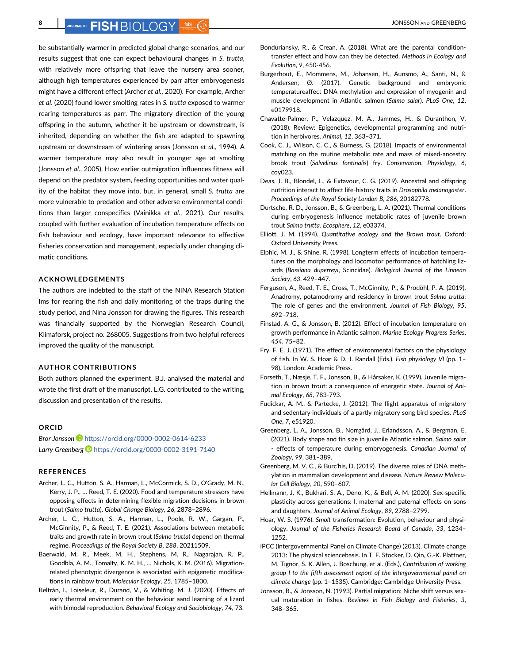OURNAL OF FISH RIOLOGY 55bit (@ **All and the ending of FISH** BIOLOGY 550 AND GREENBERG

be substantially warmer in predicted global change scenarios, and our results suggest that one can expect behavioural changes in S. trutta, with relatively more offspring that leave the nursery area sooner. although high temperatures experienced by parr after embryogenesis might have a different effect (Archer et al., 2020). For example, Archer et al. (2020) found lower smolting rates in S. trutta exposed to warmer rearing temperatures as parr. The migratory direction of the young offspring in the autumn, whether it be upstream or downstream, is inherited, depending on whether the fish are adapted to spawning upstream or downstream of wintering areas (Jonsson et al., 1994). A warmer temperature may also result in younger age at smolting (Jonsson et al., 2005). How earlier outmigration influences fitness will depend on the predator system, feeding opportunities and water quality of the habitat they move into, but, in general, small S. trutta are more vulnerable to predation and other adverse environmental conditions than larger conspecifics (Vainikka et al., 2021). Our results, coupled with further evaluation of incubation temperature effects on fish behaviour and ecology, have important relevance to effective fisheries conservation and management, especially under changing climatic conditions.

### ACKNOWLEDGEMENTS

The authors are indebted to the staff of the NINA Research Station Ims for rearing the fish and daily monitoring of the traps during the study period, and Nina Jonsson for drawing the figures. This research was financially supported by the Norwegian Research Council, Klimaforsk, project no. 268005. Suggestions from two helpful referees improved the quality of the manuscript.

### AUTHOR CONTRIBUTIONS

Both authors planned the experiment. B.J. analysed the material and wrote the first draft of the manuscript. L.G. contributed to the writing, discussion and presentation of the results.

### **ORCID**

Bror Jonsson <https://orcid.org/0000-0002-0614-6233> Larry Greenberg <https://orcid.org/0000-0002-3191-7140>

### REFERENCES

- Archer, L. C., Hutton, S. A., Harman, L., McCormick, S. D., O'Grady, M. N., Kerry, J. P., … Reed, T. E. (2020). Food and temperature stressors have opposing effects in determining flexible migration decisions in brown trout (Salmo trutta). Global Change Biology, 26, 2878–2896.
- Archer, L. C., Hutton, S. A., Harman, L., Poole, R. W., Gargan, P., McGinnity, P., & Reed, T. E. (2021). Associations between metabolic traits and growth rate in brown trout (Salmo trutta) depend on thermal regime. Proceedings of the Royal Society B, 288, 20211509.
- Baerwald, M. R., Meek, M. H., Stephens, M. R., Nagarajan, R. P., Goodbla, A. M., Tomalty, K. M. H., … Nichols, K. M. (2016). Migrationrelated phenotypic divergence is associated with epigenetic modifications in rainbow trout. Molecular Ecology, 25, 1785–1800.
- Beltrán, I., Loiseleur, R., Durand, V., & Whiting, M. J. (2020). Effects of early thermal environment on the behaviour aand learning of a lizard with bimodal reproduction. Behavioral Ecology and Sociobiology, 74, 73.
- Bonduriansky, R., & Crean, A. (2018). What are the parental conditiontransfer effect and how can they be detected. Methods in Ecology and Evolution, 9, 450-456.
- Burgerhout, E., Mommens, M., Johansen, H., Aunsmo, A., Santi, N., & Andersen, Ø. (2017). Genetic background and embryonic temperatureaffect DNA methylation and expression of myogenin and muscle development in Atlantic salmon (Salmo salar). PLoS One, 12, e0179918.
- Chavatte-Palmer, P., Velazquez, M. A., Jammes, H., & Duranthon, V. (2018). Review: Epigenetics, developmental programming and nutrition in herbivores. Animal, 12, 363–371.
- Cook, C. J., Wilson, C. C., & Burness, G. (2018). Impacts of environmental matching on the routine metabolic rate and mass of mixed-ancestry brook trout (Salvelinus fontinalis) fry. Conservation. Physiology, 6, coy023.
- Deas, J. B., Blondel, L., & Extavour, C. G. (2019). Ancestral and offspring nutrition interact to affect life-history traits in Drosophila melanogaster. Proceedings of the Royal Society London B, 286, 20182778.
- Durtsche, R. D., Jonsson, B., & Greenberg, L. A. (2021). Thermal conditions during embryogenesis influence metabolic rates of juvenile brown trout Salmo trutta. Ecosphere, 12, e03374.
- Elliott, J. M. (1994). Quantitative ecology and the Brown trout. Oxford: Oxford University Press.
- Elphic, M. J., & Shine, R. (1998). Longterm effects of incubation temperatures on the morphology and locomotor performance of hatchling lizards (Bassiana duperreyi, Scincidae). Biological Journal of the Linnean Society, 63, 429–447.
- Ferguson, A., Reed, T. E., Cross, T., McGinnity, P., & Prodöhl, P. A. (2019). Anadromy, potamodromy and residency in brown trout Salmo trutta: The role of genes and the environment. Journal of Fish Biology, 95, 692–718.
- Finstad, A. G., & Jonsson, B. (2012). Effect of incubation temperature on growth performance in Atlantic salmon. Marine Ecology Progress Series, 454, 75–82.
- Fry, F. E. J. (1971). The effect of environmental factors on the physiology of fish. In W. S. Hoar & D. J. Randall (Eds.), Fish physiology VI (pp. 1– 98). London: Academic Press.
- Forseth, T., Næsje, T. F., Jonsson, B., & Hårsaker, K. (1999). Juvenile migration in brown trout: a consequence of energetic state. Journal of Animal Ecology, 68, 783-793.
- Fudickar, A. M., & Partecke, J. (2012). The flight apparatus of migratory and sedentary individuals of a partly migratory song bird species. PLoS One, 7, e51920.
- Greenberg, L. A., Jonsson, B., Norrgård, J., Erlandsson, A., & Bergman, E. (2021). Body shape and fin size in juvenile Atlantic salmon, Salmo salar - effects of temperature during embryogenesis. Canadian Journal of Zoology, 99, 381–389.
- Greenberg, M. V. C., & Burc'his, D. (2019). The diverse roles of DNA methylation in mammalian development and disease. Nature Review Molecular Cell Biology, 20, 590–607.
- Hellmann, J. K., Bukhari, S. A., Deno, K., & Bell, A. M. (2020). Sex-specific plasticity across generations: I. maternal and paternal effects on sons and daughters. Journal of Animal Ecology, 89, 2788–2799.
- Hoar, W. S. (1976). Smolt transformation: Evolution, behaviour and physiology. Journal of the Fisheries Research Board of Canada, 33, 1234– 1252.
- IPCC (Intergovernmental Panel on Climate Change) (2013). Climate change 2013: The physical sciencebasis. In T. F. Stocker, D. Qin, G.-K. Plattner, M. Tignor, S. K. Allen, J. Boschung, et al. (Eds.), Contribution of working group I to the fifth assessment report of the intergovernmental panel on climate change (pp. 1–1535). Cambridge: Cambridge University Press.
- Jonsson, B., & Jonsson, N. (1993). Partial migration: Niche shift versus sexual maturation in fishes. Reviews in Fish Biology and Fisheries, 3, 348–365.